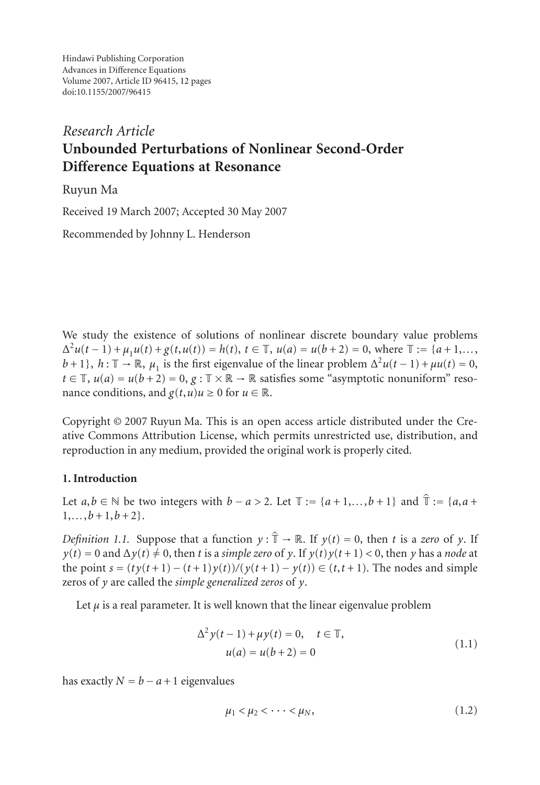Hindawi Publishing Corporation Advances in Difference Equations Volume 2007, Article ID 96415, [12](#page-11-0) pages doi:10.1155/2007/96415

# *Research Article* **Unbounded Perturbations of Nonlinear Second-Order Difference Equations at Resonance**

Ruyun Ma

Received 19 March 2007; Accepted 30 May 2007

Recommended by Johnny L. Henderson

We study the existence of solutions of nonlinear discrete boundary value problems  $\Delta^2 u(t-1) + \mu_1 u(t) + g(t, u(t)) = h(t), t \in \mathbb{T}, u(a) = u(b+2) = 0$ , where  $\mathbb{T} := \{a+1, \ldots, b+1\}$ ,  $h: \mathbb{T} \to \mathbb{R}$ , *u* is the first eigenvalue of the linear problem  $\Delta^2 u(t-1) + u u(t) = 0$ .  $b+1$ ;  $h: \mathbb{T} \to \mathbb{R}$ ,  $\mu_1$  is the first eigenvalue of the linear problem  $\Delta^2 u(t-1) + \mu u(t) = 0$ ,<br> $t \in \mathbb{T}$ ,  $u(a) = u(h+2) = 0$ ,  $a: \mathbb{T} \times \mathbb{R} \to \mathbb{R}$  satisfies some "asymptotic population" reso $t \in \mathbb{T}$ ,  $u(a) = u(b+2) = 0$ ,  $g: \mathbb{T} \times \mathbb{R} \to \mathbb{R}$  satisfies some "asymptotic nonuniform" resonance conditions, and  $g(t, u)u \ge 0$  for  $u \in \mathbb{R}$ .

Copyright © 2007 Ruyun Ma. This is an open access article distributed under the Creative Commons Attribution License, which permits unrestricted use, distribution, and reproduction in any medium, provided the original work is properly cited.

# **1. Introduction**

**1. Introduction**<br>Let *a*,*b* ∈ N be two integers with *b* − *a* > 2. Let  $\mathbb{T} := \{a+1,...,b+1\}$  and  $\hat{\mathbb{T}} := \{a, a+1, \dots, b+1\}$  $1, \ldots, b+1, b+2$ .

*Definition 1.1.* Suppose that a function  $y : \hat{T} \to \mathbb{R}$ . If  $y(t) = 0$ , then *t* is a *zero* of *y*. If  $y(t) = 0$  and  $\Delta y(t) \neq 0$  then *t* is a *zero* of *y*. If  $y(t) = 0$  and  $\Delta y(t) \neq 0$  then *t* is a *zero* of *y*. If  $y(t) = 0$  and  $\Delta y(t) \neq 0$ , then *t* is a *simple zero* of *y*. If  $y(t)y(t+1) < 0$ , then *y* has a *node* at the point *s* =  $(ty(t+1) - (t+1)y(t)/(y(t+1) - y(t)) \in (t, t+1)$ . The nodes and simple zeros of *y* are called the *simple generalized zeros* of *y*.

Let  $\mu$  is a real parameter. It is well known that the linear eigenvalue problem

$$
\Delta^{2} y(t-1) + \mu y(t) = 0, \quad t \in \mathbb{T},
$$
  

$$
u(a) = u(b+2) = 0
$$
 (1.1)

has exactly  $N = b - a + 1$  eigenvalues

<span id="page-0-0"></span>
$$
\mu_1 < \mu_2 < \cdots < \mu_N,\tag{1.2}
$$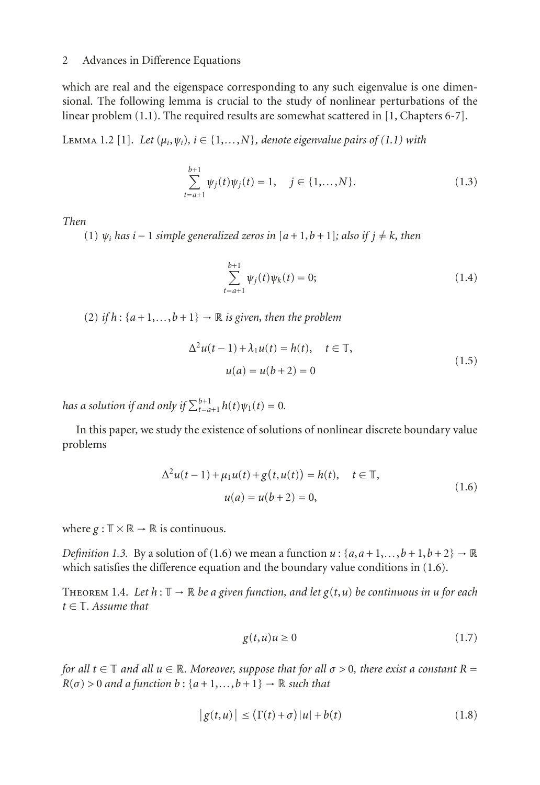which are real and the eigenspace corresponding to any such eigenvalue is one dimensional. The following lemma is crucial to the study of nonlinear perturbations of the linear problem [\(1.1\)](#page-0-0). The required results are somewhat scattered in [\[1,](#page-11-1) Chapters 6-7].

Lemma 1.2 [\[1\]](#page-11-1). *Let*  $(\mu_i, \psi_i)$ ,  $i \in \{1, \ldots, N\}$ , denote eigenvalue pairs of  $(1.1)$  with

$$
\sum_{t=a+1}^{b+1} \psi_j(t)\psi_j(t) = 1, \quad j \in \{1, \dots, N\}.
$$
 (1.3)

*Then*

(1) *ψi has <sup>i</sup>* <sup>−</sup> <sup>1</sup> *simple generalized zeros in* [*a*+ 1,*<sup>b</sup>* + 1]*; also if <sup>j</sup>* = *<sup>k</sup>, then*

<span id="page-1-3"></span><span id="page-1-2"></span>
$$
\sum_{t=a+1}^{b+1} \psi_j(t)\psi_k(t) = 0; \qquad (1.4)
$$

(2) *if*  $h$  :  $\{a+1,\ldots,b+1\}$   $\rightarrow \mathbb{R}$  *is given, then the problem* 

$$
\Delta^{2}u(t-1) + \lambda_{1}u(t) = h(t), \quad t \in \mathbb{T},
$$
  

$$
u(a) = u(b+2) = 0
$$
 (1.5)

*has a solution if and only if*  $\sum_{t=a+1}^{b+1} h(t)\psi_1(t) = 0$ .

In this paper, we study the existence of solutions of nonlinear discrete boundary value problems

<span id="page-1-0"></span>
$$
\Delta^{2}u(t-1) + \mu_{1}u(t) + g(t, u(t)) = h(t), \quad t \in \mathbb{T},
$$
  

$$
u(a) = u(b+2) = 0,
$$
 (1.6)

where  $g: \mathbb{T} \times \mathbb{R} \to \mathbb{R}$  is continuous.

*Definition 1.3.* By a solution of [\(1.6\)](#page-1-0) we mean a function  $u : \{a, a+1, \ldots, b+1, b+2\} \rightarrow \mathbb{R}$ which satisfies the difference equation and the boundary value conditions in [\(1.6\)](#page-1-0).

<span id="page-1-1"></span>THEOREM 1.4. Let  $h : \mathbb{T} \to \mathbb{R}$  be a given function, and let  $g(t, u)$  be continuous in u for each *t* <sup>∈</sup> <sup>T</sup>*. Assume that*

<span id="page-1-5"></span><span id="page-1-4"></span>
$$
g(t, u)u \ge 0\tag{1.7}
$$

*for all*  $t \in \mathbb{T}$  *and all*  $u \in \mathbb{R}$ *. Moreover, suppose that for all*  $\sigma > 0$ *, there exist a constant*  $R = R(\sigma) > 0$  *and a function*  $h : \{a + 1\} \to \mathbb{R}$  *such that R*(*σ*) > 0 *and a function b* : { $a+1,...,b+1$ } → R *such that*<br>  $|g(t, u)| \leq (\Gamma(t) + \sigma) |u| + b$ 

$$
|g(t, u)| \le (\Gamma(t) + \sigma)|u| + b(t)
$$
\n(1.8)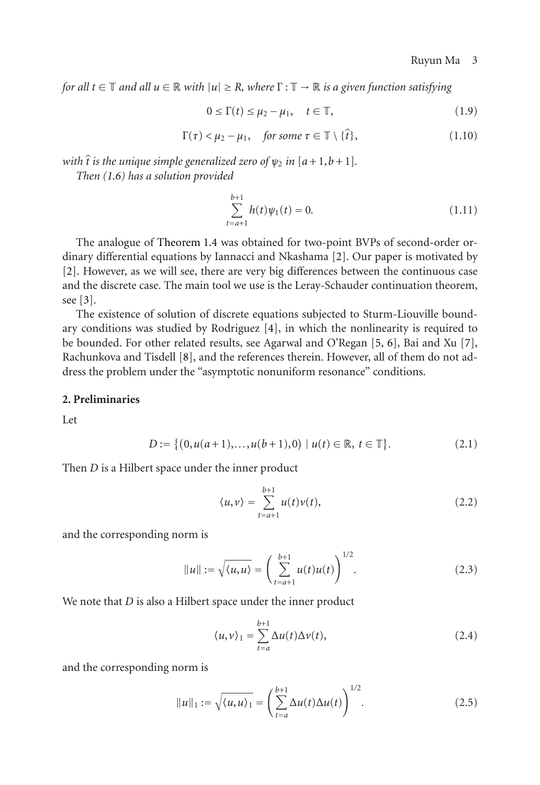*for all*  $t \in \mathbb{T}$  *and all*  $u \in \mathbb{R}$  *with*  $|u| \geq R$ *, where*  $\Gamma : \mathbb{T} \to \mathbb{R}$  *is a given function satisfying* 

<span id="page-2-0"></span>
$$
0 \le \Gamma(t) \le \mu_2 - \mu_1, \quad t \in \mathbb{T}, \tag{1.9}
$$

$$
0 \le \Gamma(t) \le \mu_2 - \mu_1, \quad t \in \mathbb{T},
$$
  
 
$$
\Gamma(\tau) < \mu_2 - \mu_1, \quad \text{for some } \tau \in \mathbb{T} \setminus \{\hat{t}\},
$$
  
(1.10)

 $\Gamma(\tau) < \mu_2 - \mu_1$ , for some  $\tau \in \mathbb{T} \setminus \{\hat{t}\}$ ,<br>with  $\hat{t}$  is the unique simple generalized zero of  $\psi_2$  in  $[a+1,b+1]$ .<br>Then (1.6) has a solution provided *Then [\(1.6\)](#page-1-0) has a solution provided*

<span id="page-2-1"></span>
$$
\sum_{t=a+1}^{b+1} h(t)\psi_1(t) = 0.
$$
 (1.11)

The analogue of [Theorem 1.4](#page-1-1) was obtained for two-point BVPs of second-order ordinary differential equations by Iannacci and Nkashama [\[2](#page-11-2)]. Our paper is motivated by [\[2\]](#page-11-2). However, as we will see, there are very big differences between the continuous case and the discrete case. The main tool we use is the Leray-Schauder continuation theorem, see [\[3](#page-11-3)].

The existence of solution of discrete equations subjected to Sturm-Liouville boundary conditions was studied by Rodriguez [\[4](#page-11-4)], in which the nonlinearity is required to be bounded. For other related results, see Agarwal and O'Regan [\[5](#page-11-5), [6\]](#page-11-6), Bai and Xu [\[7\]](#page-11-7), Rachunkova and Tisdell [\[8\]](#page-11-8), and the references therein. However, all of them do not address the problem under the "asymptotic nonuniform resonance" conditions.

#### **2. Preliminaries**

Let

$$
D := \{ (0, u(a+1), \dots, u(b+1), 0) \mid u(t) \in \mathbb{R}, t \in \mathbb{T} \}. \tag{2.1}
$$

Then *D* is a Hilbert space under the inner product

$$
\langle u, v \rangle = \sum_{t=a+1}^{b+1} u(t)v(t), \qquad (2.2)
$$

and the corresponding norm is

rm is  
\n
$$
||u|| := \sqrt{\langle u, u \rangle} = \left(\sum_{t=a+1}^{b+1} u(t)u(t)\right)^{1/2}.
$$
\n(2.3)

We note that *D* is also a Hilbert space under the inner product

$$
\langle u, v \rangle_1 = \sum_{t=a}^{b+1} \Delta u(t) \Delta v(t), \tag{2.4}
$$

and the corresponding norm is

$$
||u||_1 := \sqrt{\langle u, u \rangle_1} = \left(\sum_{t=a}^{b+1} \Delta u(t) \Delta u(t)\right)^{1/2}.
$$
 (2.5)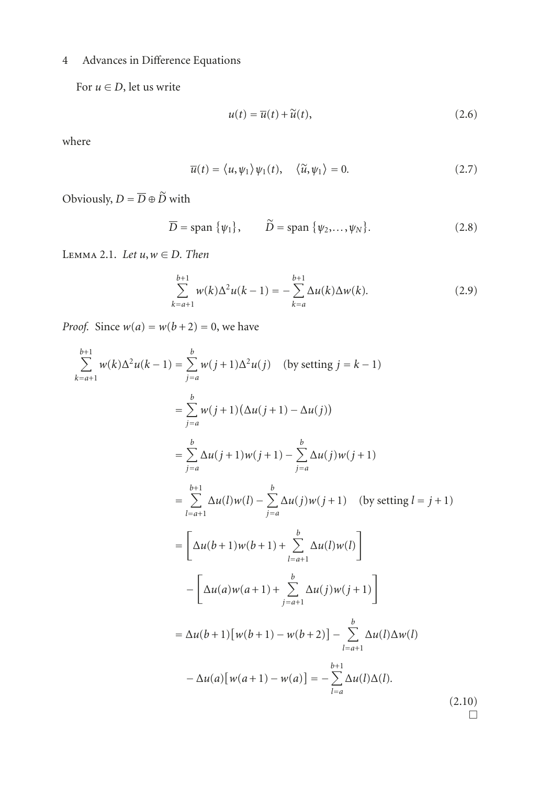For  $u \in D$ , let us write

$$
u(t) = \overline{u}(t) + \widetilde{u}(t),
$$
\n(2.6)

where

$$
\overline{u}(t) = \langle u, \psi_1 \rangle \psi_1(t), \quad \langle \widetilde{u}, \psi_1 \rangle = 0.
$$
\n(2.7)

Obviously,  $D = \overline{D} \oplus \widetilde{D}$  with

with  
\n
$$
\overline{D} = \text{span } \{\psi_1\}, \qquad \widetilde{D} = \text{span } \{\psi_2, \dots, \psi_N\}. \tag{2.8}
$$

<span id="page-3-0"></span>Lemma 2.1. *Let <sup>u</sup>*,*<sup>w</sup>* <sup>∈</sup> *D. Then*

$$
\sum_{k=a+1}^{b+1} w(k) \Delta^2 u(k-1) = -\sum_{k=a}^{b+1} \Delta u(k) \Delta w(k).
$$
 (2.9)

 $\Box$ 

<span id="page-3-1"></span>

Proof. Since 
$$
w(a) = w(b+2) = 0
$$
, we have  
\n
$$
\sum_{k=a+1}^{b+1} w(k)\Delta^2 u(k-1) = \sum_{j=a}^{b} w(j+1)\Delta^2 u(j)
$$
 (by setting  $j = k - 1$ )  
\n
$$
= \sum_{j=a}^{b} w(j+1)(\Delta u(j+1) - \Delta u(j))
$$
\n
$$
= \sum_{j=a}^{b} \Delta u(j+1)w(j+1) - \sum_{j=a}^{b} \Delta u(j)w(j+1)
$$
\n
$$
= \sum_{l=a+1}^{b+1} \Delta u(l)w(l) - \sum_{j=a}^{b} \Delta u(j)w(j+1)
$$
 (by setting  $l = j + 1$ )  
\n
$$
= \left[\Delta u(b+1)w(b+1) + \sum_{l=a+1}^{b} \Delta u(l)w(l)\right]
$$
\n
$$
- \left[\Delta u(a)w(a+1) + \sum_{j=a+1}^{b} \Delta u(j)w(j+1)\right]
$$
\n
$$
= \Delta u(b+1)[w(b+1) - w(b+2)] - \sum_{l=a+1}^{b} \Delta u(l)\Delta w(l)
$$
\n
$$
- \Delta u(a)[w(a+1) - w(a)] = - \sum_{l=a}^{b+1} \Delta u(l)\Delta(l).
$$
\n(2.10)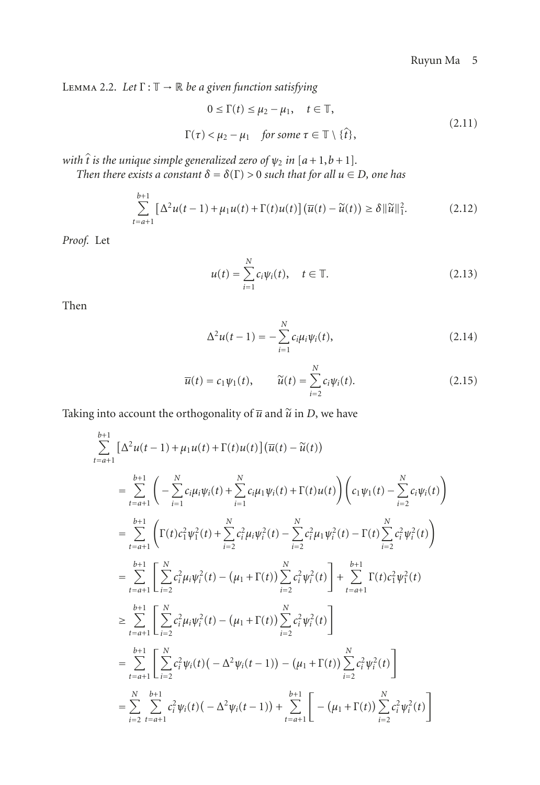Lemma 2.2. *Let* <sup>Γ</sup> : <sup>T</sup> <sup>→</sup> <sup>R</sup> *be a given function satisfying*

$$
0 \le \Gamma(t) \le \mu_2 - \mu_1, \quad t \in \mathbb{T},
$$
  

$$
\Gamma(\tau) < \mu_2 - \mu_1 \quad \text{for some } \tau \in \mathbb{T} \setminus \{\hat{t}\},
$$
 (2.11)

 $\Gamma(\tau) < \mu_2 - \mu_1$  *for some*  $\tau \in \mathbb{T} \setminus \{\hat{t}\},$ <br>with  $\hat{t}$  *is the unique simple generalized zero of*  $\psi_2$  *in*  $[a+1,b+1]$ *.*<br>Then there exists a constant  $\delta = \delta(\Gamma) > 0$  such that for all  $\mu \in$ 

Then there exists a constant 
$$
\delta = \delta(\Gamma) > 0
$$
 such that for all  $u \in D$ , one has  
\n
$$
\sum_{t=a+1}^{b+1} [\Delta^2 u(t-1) + \mu_1 u(t) + \Gamma(t)u(t)] (\overline{u}(t) - \widetilde{u}(t)) \ge \delta ||\widetilde{u}||_1^2.
$$
\n(2.12)

*Proof.* Let

<span id="page-4-0"></span>
$$
u(t) = \sum_{i=1}^{N} c_i \psi_i(t), \quad t \in \mathbb{T}.
$$
 (2.13)

Then

<span id="page-4-1"></span>
$$
\Delta^2 u(t-1) = -\sum_{i=1}^N c_i \mu_i \psi_i(t),
$$
\n(2.14)

$$
\Delta^2 u(t-1) = -\sum_{i=1} c_i \mu_i \psi_i(t),
$$
\n(2.14)\n
$$
\overline{u}(t) = c_1 \psi_1(t), \qquad \widetilde{u}(t) = \sum_{i=2}^N c_i \psi_i(t).
$$
\n(2.15)\nTaking into account the orthogonality of  $\overline{u}$  and  $\widetilde{u}$  in *D*, we have

g into account the orthogonality of 
$$
\overline{u}
$$
 and  $\tilde{u}$  in *D*, we have  
\n
$$
\sum_{t=a+1}^{b+1} [\Delta^2 u(t-1) + \mu_1 u(t) + \Gamma(t)u(t)] (\overline{u}(t) - \tilde{u}(t))
$$
\n
$$
= \sum_{t=a+1}^{b+1} \left( -\sum_{i=1}^N c_i \mu_i \psi_i(t) + \sum_{i=1}^N c_i \mu_1 \psi_i(t) + \Gamma(t)u(t) \right) \left( c_1 \psi_1(t) - \sum_{i=2}^N c_i \psi_i(t) \right)
$$
\n
$$
= \sum_{t=a+1}^{b+1} \left( \Gamma(t) c_1^2 \psi_1^2(t) + \sum_{i=2}^N c_i^2 \mu_i \psi_i^2(t) - \sum_{i=2}^N c_i^2 \mu_1 \psi_i^2(t) - \Gamma(t) \sum_{i=2}^N c_i^2 \psi_i^2(t) \right)
$$
\n
$$
= \sum_{t=a+1}^{b+1} \left[ \sum_{i=2}^N c_i^2 \mu_i \psi_i^2(t) - (\mu_1 + \Gamma(t)) \sum_{i=2}^N c_i^2 \psi_i^2(t) \right] + \sum_{t=a+1}^{b+1} \Gamma(t) c_1^2 \psi_1^2(t)
$$
\n
$$
\geq \sum_{t=a+1}^{b+1} \left[ \sum_{i=2}^N c_i^2 \mu_i \psi_i^2(t) - (\mu_1 + \Gamma(t)) \sum_{i=2}^N c_i^2 \psi_i^2(t) \right]
$$
\n
$$
= \sum_{t=a+1}^{b+1} \left[ \sum_{i=2}^N c_i^2 \psi_i(t) (-\Delta^2 \psi_i(t-1)) - (\mu_1 + \Gamma(t)) \sum_{i=2}^N c_i^2 \psi_i^2(t) \right]
$$
\n
$$
= \sum_{i=2}^N \sum_{t=a+1}^{b+1} c_i^2 \psi_i(t) (-\Delta^2 \psi_i(t-1)) + \sum_{t=a+1}^{b+1} \left[ -(\mu_1 + \Gamma(t)) \sum_{i=2}^N c_i^2 \psi_i^2(t) \right]
$$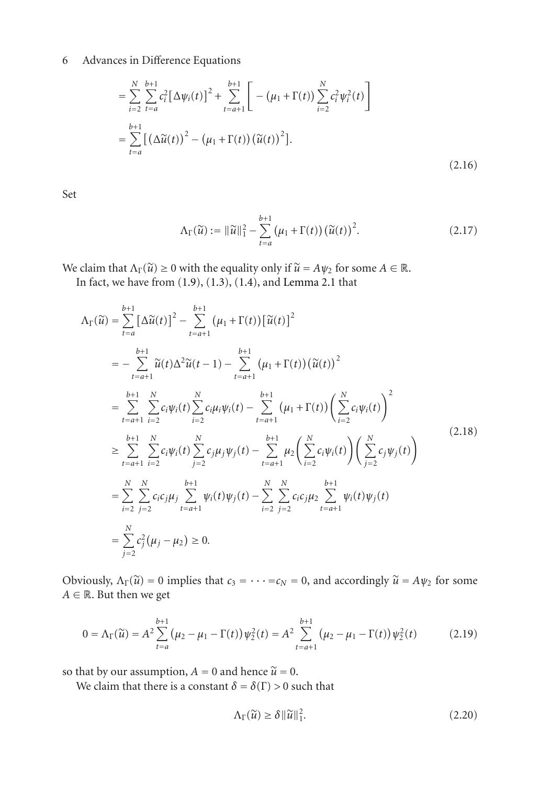6 Advances in Difference Equations  
\n
$$
= \sum_{i=2}^{N} \sum_{t=a}^{b+1} c_i^2 \left[ \Delta \psi_i(t) \right]^2 + \sum_{t=a+1}^{b+1} \left[ -(\mu_1 + \Gamma(t)) \sum_{i=2}^{N} c_i^2 \psi_i^2(t) \right]
$$
\n
$$
= \sum_{t=a}^{b+1} \left[ \left( \Delta \widetilde{u}(t) \right)^2 - (\mu_1 + \Gamma(t)) \left( \widetilde{u}(t) \right)^2 \right].
$$
\n(2.16)

Set

<span id="page-5-0"></span>
$$
\Lambda_{\Gamma}(\widetilde{u}) := \|\widetilde{u}\|_{1}^{2} - \sum_{t=a}^{b+1} (\mu_{1} + \Gamma(t)) (\widetilde{u}(t))^{2}.
$$
 (2.17)

We claim that  $\Lambda_{\Gamma}(\tilde{u}) \ge 0$  with the equality only if  $\tilde{u} = A \psi_2$  for some  $A \in \mathbb{R}$ .

In fact, we have from [\(1.9\)](#page-2-0), [\(1.3\)](#page-1-2), [\(1.4\)](#page-1-3), and [Lemma 2.1](#page-3-0) that

$$
\Lambda_{\Gamma}(\tilde{u}) = \sum_{t=a}^{b+1} \left[ \Delta \tilde{u}(t) \right]^2 - \sum_{t=a+1}^{b+1} (\mu_1 + \Gamma(t)) \left[ \tilde{u}(t) \right]^2
$$
\n
$$
= - \sum_{t=a+1}^{b+1} \tilde{u}(t) \Delta^2 \tilde{u}(t-1) - \sum_{t=a+1}^{b+1} (\mu_1 + \Gamma(t)) (\tilde{u}(t))^2
$$
\n
$$
= \sum_{t=a+1}^{b+1} \sum_{i=2}^{N} c_i \psi_i(t) \sum_{i=2}^{N} c_i \mu_i \psi_i(t) - \sum_{t=a+1}^{b+1} (\mu_1 + \Gamma(t)) \left( \sum_{i=2}^{N} c_i \psi_i(t) \right)^2
$$
\n
$$
\geq \sum_{t=a+1}^{b+1} \sum_{i=2}^{N} c_i \psi_i(t) \sum_{j=2}^{N} c_j \mu_j \psi_j(t) - \sum_{t=a+1}^{b+1} \mu_2 \left( \sum_{i=2}^{N} c_i \psi_i(t) \right) \left( \sum_{j=2}^{N} c_j \psi_j(t) \right)
$$
\n
$$
= \sum_{i=2}^{N} \sum_{j=2}^{N} c_i c_j \mu_j \sum_{t=a+1}^{b+1} \psi_i(t) \psi_j(t) - \sum_{i=2}^{N} \sum_{j=2}^{N} c_i c_j \mu_2 \sum_{t=a+1}^{b+1} \psi_i(t) \psi_j(t)
$$
\n
$$
= \sum_{j=2}^{N} c_j^2 (\mu_j - \mu_2) \geq 0.
$$
\n(2.18)

Obviously,  $\Lambda_{\Gamma}(\tilde{u}) = 0$  implies that  $c_3 = \cdots = c_N = 0$ , and accordingly  $\tilde{u} = A \psi_2$  for some  $A \in \mathbb{R}$ . But then we get

$$
0 = \Lambda_{\Gamma}(\tilde{u}) = A^2 \sum_{t=a}^{b+1} (\mu_2 - \mu_1 - \Gamma(t)) \psi_2^2(t) = A^2 \sum_{t=a+1}^{b+1} (\mu_2 - \mu_1 - \Gamma(t)) \psi_2^2(t)
$$
(2.19)

so that by our assumption,  $A = 0$  and hence  $\tilde{u} = 0$ .

We claim that there is a constant  $\delta = \delta(\Gamma) > 0$  such that<br>  $\Lambda_{\Gamma}(\tilde{u}) \ge \delta ||\tilde{u}||_1^2$ .

$$
\Lambda_{\Gamma}(\widetilde{u}) \ge \delta \|\widetilde{u}\|_{1}^{2}.
$$
\n(2.20)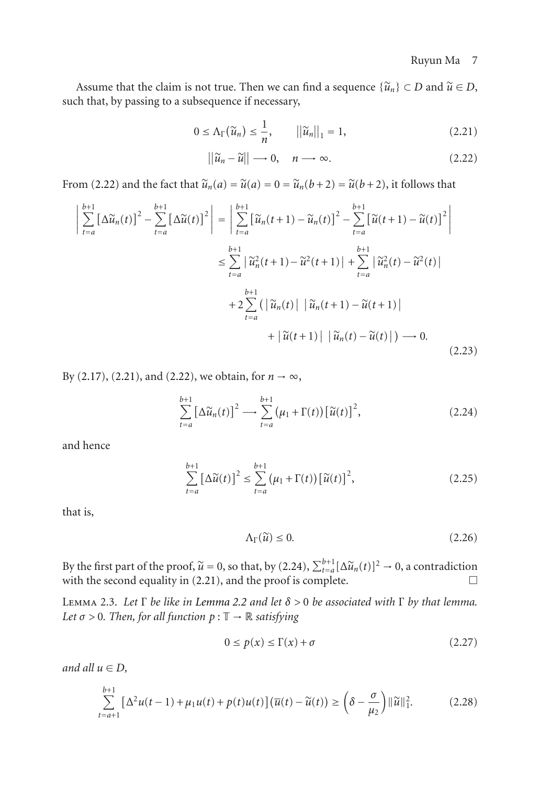Assume that the claim is not true. Then we can find a sequence  $\{\tilde{u}_n\} \subset D$  and  $\tilde{u} \in D$ , the that by passing to a subsequence if pecessary Assume that the claim is not true. Then we can<br>such that, by passing to a subsequence if necessary,<br> $0 \le \Delta_{\Gamma}(\tilde{u}_n) \le \frac{1}{n},$ 

dissequence if necessary,

\n
$$
0 \le \Lambda_{\Gamma}(\widetilde{u}_n) \le \frac{1}{n}, \qquad ||\widetilde{u}_n||_1 = 1,
$$
\n
$$
||\widetilde{u}_n - \widetilde{u}|| \to 0, \quad n \to \infty.
$$
\n(2.21)

<span id="page-6-1"></span><span id="page-6-0"></span>
$$
||\widetilde{u}_n - \widetilde{u}|| \longrightarrow 0, \quad n \longrightarrow \infty. \tag{2.22}
$$

From [\(2.22\)](#page-6-0) and the fact that  $\tilde{u}_n(a) = \tilde{u}(a) = 0 = \tilde{u}_n(b+2) = \tilde{u}(b+2)$ , it follows that  $\overline{a}$  $\frac{1}{2}$ 

om (2.22) and the fact that 
$$
\widetilde{u}_n(a) = \widetilde{u}(a) = 0 = \widetilde{u}_n(b+2) = \widetilde{u}(b+2)
$$
, it follows that\n
$$
\left| \sum_{t=a}^{b+1} \left[ \Delta \widetilde{u}_n(t) \right]^2 - \sum_{t=a}^{b+1} \left[ \Delta \widetilde{u}(t) \right]^2 \right| = \left| \sum_{t=a}^{b+1} \left[ \widetilde{u}_n(t+1) - \widetilde{u}_n(t) \right]^2 - \sum_{t=a}^{b+1} \left[ \widetilde{u}(t+1) - \widetilde{u}(t) \right]^2 \right|
$$
\n
$$
\leq \sum_{t=a}^{b+1} \left| \widetilde{u}_n^2(t+1) - \widetilde{u}^2(t+1) \right| + \sum_{t=a}^{b+1} \left| \widetilde{u}_n^2(t) - \widetilde{u}^2(t) \right|
$$
\n
$$
+ 2 \sum_{t=a}^{b+1} \left( \left| \widetilde{u}_n(t) \right| \left| \widetilde{u}_n(t+1) - \widetilde{u}(t+1) \right| + \left| \widetilde{u}(t+1) \right| \left| \widetilde{u}_n(t) - \widetilde{u}(t) \right| \right) \longrightarrow 0.
$$
\n(2.23)

By (2.17), (2.21), and (2.22), we obtain, for 
$$
n \to \infty
$$
,  
\n
$$
\sum_{t=a}^{b+1} \left[ \Delta \widetilde{u}_n(t) \right]^2 \longrightarrow \sum_{t=a}^{b+1} (\mu_1 + \Gamma(t)) \left[ \widetilde{u}(t) \right]^2, \tag{2.24}
$$

and hence

$$
\sum_{t=a}^{b+1} \left[ \Delta \widetilde{u}(t) \right]^2 \le \sum_{t=a}^{b+1} \left( \mu_1 + \Gamma(t) \right) \left[ \widetilde{u}(t) \right]^2, \tag{2.25}
$$

that is,

<span id="page-6-2"></span>
$$
\Lambda_{\Gamma}(\widetilde{u}) \le 0. \tag{2.26}
$$

 $\Delta_{\Gamma}(\tilde{u}) \le 0.$  (2.26)<br>By the first part of the proof,  $\tilde{u} = 0$ , so that, by [\(2.24\)](#page-6-2),  $\sum_{t=a}^{b+1} [\Delta \tilde{u}_n(t)]^2 \to 0$ , a contradiction<br>with the second equality in (2.21), and the proof is complete. with the second equality in [\(2.21\)](#page-6-1), and the proof is complete.  $\Box$ 

<span id="page-6-4"></span>Lemma 2.3. *Let* <sup>Γ</sup> *be like in [Lemma 2.2](#page-3-1) and let δ >* <sup>0</sup> *be associated with* <sup>Γ</sup> *by that lemma. Let*  $\sigma > 0$ *. Then, for all function*  $p : \mathbb{T} \to \mathbb{R}$  *satisfying* 

<span id="page-6-3"></span>
$$
0 \le p(x) \le \Gamma(x) + \sigma \tag{2.27}
$$

*and all <sup>u</sup>* <sup>∈</sup> *D,*

$$
u \in D,
$$
  
\n
$$
\sum_{t=a+1}^{b+1} [\Delta^2 u(t-1) + \mu_1 u(t) + p(t)u(t)] (\overline{u}(t) - \widetilde{u}(t)) \ge (\delta - \frac{\sigma}{\mu_2}) ||\widetilde{u}||_1^2.
$$
 (2.28)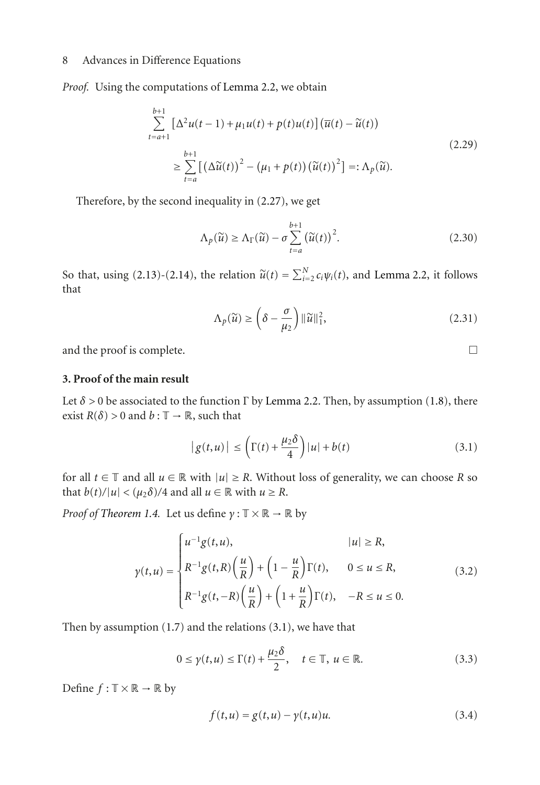*Proof.* Using the computations of [Lemma 2.2,](#page-3-1) we obtain

$$
\sum_{t=a+1}^{b+1} \left[ \Delta^2 u(t-1) + \mu_1 u(t) + p(t)u(t) \right] (\overline{u}(t) - \widetilde{u}(t))
$$
\n
$$
\geq \sum_{t=a}^{b+1} \left[ \left( \Delta \widetilde{u}(t) \right)^2 - \left( \mu_1 + p(t) \right) \left( \widetilde{u}(t) \right)^2 \right] =: \Lambda_p(\widetilde{u}).
$$
\n(2.29)

 $we$ 

Therefore, by the second inequality in (2.27), we get  
\n
$$
\Lambda_p(\widetilde{u}) \ge \Lambda_\Gamma(\widetilde{u}) - \sigma \sum_{t=a}^{b+1} (\widetilde{u}(t))^2.
$$
\n(2.30)

 $\Lambda_p(\tilde{u}) \ge \Lambda_\Gamma(\tilde{u}) - \sigma \sum_{t=a} (\tilde{u}(t))^2.$  (2.30)<br>So that, using [\(2.13\)](#page-4-0)-[\(2.14\)](#page-4-1), the relation  $\tilde{u}(t) = \sum_{i=2}^N c_i \psi_i(t)$ , and [Lemma 2.2,](#page-3-1) it follows that

$$
\Lambda_p(\widetilde{u}) \ge \left(\delta - \frac{\sigma}{\mu_2}\right) ||\widetilde{u}||_1^2, \tag{2.31}
$$

and the proof is complete.  $\Box$ 

# **3. Proof of the main result**

Let  $\delta$  > 0 be associated to the function  $\Gamma$  by [Lemma 2.2.](#page-3-1) Then, by assumption [\(1.8\)](#page-1-4), there exist  $R(\delta) > 0$  and  $h : \mathbb{T} \to \mathbb{R}$  such that exist  $R(\delta) > 0$  and  $b : \mathbb{T} \to \mathbb{R}$ , such that

$$
|g(t, u)| \leq \left(\Gamma(t) + \frac{\mu_2 \delta}{4}\right)|u| + b(t)
$$
\n(3.1)

for all  $t \in \mathbb{T}$  and all  $u \in \mathbb{R}$  with  $|u| \geq R$ . Without loss of generality, we can choose *R* so that  $b(t)/|u| < (\mu_2 \delta)/4$  and all  $u \in \mathbb{R}$  with  $u \ge R$ .

*Proof of [Theorem 1.4.](#page-1-1)* Let us define  $\gamma : \mathbb{T} \times \mathbb{R} \to \mathbb{R}$  by

$$
\gamma(t, u) = \begin{cases}\nu^{-1}g(t, u), & |u| \ge R, \\
R^{-1}g(t, R)\left(\frac{u}{R}\right) + \left(1 - \frac{u}{R}\right)\Gamma(t), & 0 \le u \le R, \\
R^{-1}g(t, -R)\left(\frac{u}{R}\right) + \left(1 + \frac{u}{R}\right)\Gamma(t), & -R \le u \le 0.\n\end{cases}
$$
\n(3.2)

Then by assumption [\(1.7\)](#page-1-5) and the relations [\(3.1\)](#page-7-0), we have that

$$
0 \le \gamma(t, u) \le \Gamma(t) + \frac{\mu_2 \delta}{2}, \quad t \in \mathbb{T}, \ u \in \mathbb{R}.
$$
 (3.3)

Define  $f : \mathbb{T} \times \mathbb{R} \to \mathbb{R}$  by

<span id="page-7-1"></span>
$$
f(t, u) = g(t, u) - \gamma(t, u)u.
$$
 (3.4)

<span id="page-7-0"></span>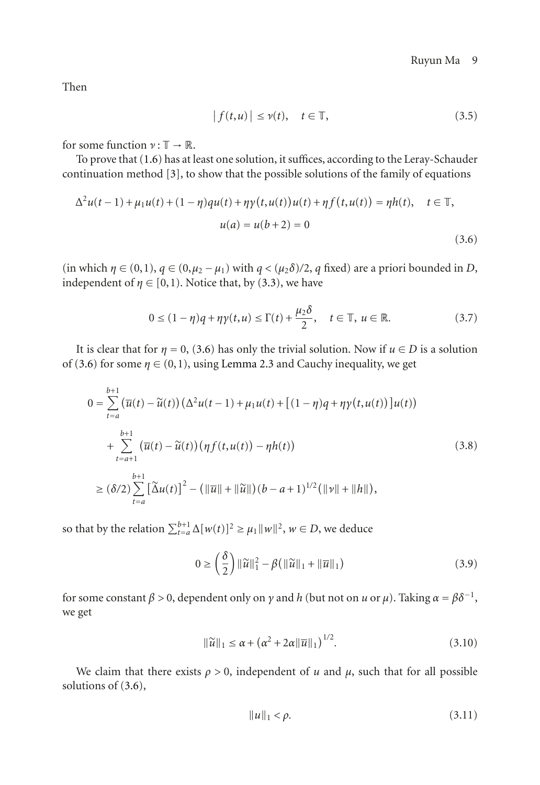Then

<span id="page-8-0"></span>
$$
|f(t, u)| \le \nu(t), \quad t \in \mathbb{T}, \tag{3.5}
$$

for some function  $\nu : \mathbb{T} \to \mathbb{R}$ .

To prove that [\(1.6\)](#page-1-0) has at least one solution, it suffices, according to the Leray-Schauder continuation method [\[3](#page-11-3)], to show that the possible solutions of the family of equations To prove that (1.6) has at least one solution, it suffices, accordination method [3], to show that the possible solution  $\Delta^2 u(t-1) + \mu_1 u(t) + (1 - \eta)q u(t) + \eta y(t, u(t))u(t) + \eta f(t)$ 

$$
\Delta^{2}u(t-1) + \mu_{1}u(t) + (1-\eta)q u(t) + \eta \gamma(t, u(t))u(t) + \eta f(t, u(t)) = \eta h(t), \quad t \in \mathbb{T},
$$
  

$$
u(a) = u(b+2) = 0
$$
 (3.6)

(in which  $\eta \in (0,1)$ ,  $q \in (0,\mu_2 - \mu_1)$  with  $q < (\mu_2 \delta)/2$ , q fixed) are a priori bounded in *D*, independent of  $\eta \in [0,1)$ . Notice that, by [\(3.3\)](#page-7-1), we have

$$
0 \le (1 - \eta)q + \eta \gamma(t, u) \le \Gamma(t) + \frac{\mu_2 \delta}{2}, \quad t \in \mathbb{T}, u \in \mathbb{R}.
$$
 (3.7)

It is clear that for  $\eta = 0$ , [\(3.6\)](#page-8-0) has only the trivial solution. Now if  $u \in D$  is a solution

of (3.6) for some 
$$
\eta \in (0, 1)
$$
, using Lemma 2.3 and Cauchy inequality, we get  
\n
$$
0 = \sum_{t=a}^{b+1} (\overline{u}(t) - \widetilde{u}(t)) (\Delta^2 u(t-1) + \mu_1 u(t) + [(1-\eta)q + \eta \gamma(t, u(t))]u(t))
$$
\n
$$
+ \sum_{t=a+1}^{b+1} (\overline{u}(t) - \widetilde{u}(t)) (\eta f(t, u(t)) - \eta h(t))
$$
\n(3.8)\n
$$
\geq (\delta/2) \sum_{t=a}^{b+1} [\widetilde{\Delta}u(t)]^2 - (\|\overline{u}\| + \|\widetilde{u}\|)(b-a+1)^{1/2}(\|\nu\| + \|h\|),
$$
\nso that by the relation  $\sum_{t=a}^{b+1} \Delta[w(t)]^2 \geq \mu_1 \|\omega\|^2$ ,  $w \in D$ , we deduce

$$
\Delta[w(t)]^2 \ge \mu_1 ||w||^2, w \in D, \text{ we deduce}
$$
  

$$
0 \ge \left(\frac{\delta}{2}\right) ||\widetilde{u}||_1^2 - \beta(||\widetilde{u}||_1 + ||\overline{u}||_1)
$$
 (3.9)

for some constant *β* > 0, dependent only on *γ* and *h* (but not on *u* or *μ*). Taking *α* = *βδ*<sup>−1</sup>,<br>
we get<br>  $||\tilde{u}||_1 \le \alpha + (\alpha^2 + 2\alpha ||\overline{u}||_1)^{1/2}$ . (3.10) we get

$$
\|\widetilde{u}\|_1 \le \alpha + \left(\alpha^2 + 2\alpha \|\overline{u}\|_1\right)^{1/2}.\tag{3.10}
$$

We claim that there exists  $\rho > 0$ , independent of *u* and  $\mu$ , such that for all possible solutions of [\(3.6\)](#page-8-0),

<span id="page-8-1"></span>
$$
||u||_1 < \rho. \tag{3.11}
$$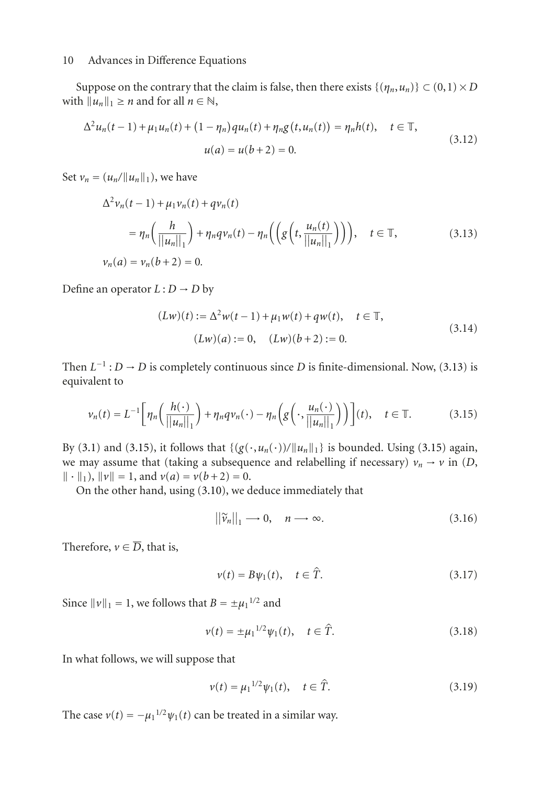Suppose on the contrary that the claim is false, then there exists  $\{(\eta_n, u_n)\} \subset (0,1) \times D$ <br>b  $||u||_{\infty} > n$  and for all  $n \in \mathbb{N}$ with  $||u_n||_1 \ge n$  and for all  $n \in \mathbb{N}$ , pose on the contrary t<br>  $u_n||_1 \ge n$  and for all  $n \in$ <br>  $u_n(t-1) + \mu_1 u_n(t) + ($ 

$$
\Delta^{2} u_{n}(t-1) + \mu_{1} u_{n}(t) + (1 - \eta_{n}) \alpha_{n}(t) + \eta_{n} g(t, u_{n}(t)) = \eta_{n} h(t), \quad t \in \mathbb{T},
$$
  

$$
u(a) = u(b+2) = 0.
$$
 (3.12)

Set  $v_n = (u_n / ||u_n||_1)$ , we have

<span id="page-9-2"></span>
$$
\Delta^{2} \nu_{n}(t-1) + \mu_{1} \nu_{n}(t) + q \nu_{n}(t)
$$
\n
$$
= \eta_{n} \left( \frac{h}{||u_{n}||_{1}} \right) + \eta_{n} q \nu_{n}(t) - \eta_{n} \left( \left( g \left( t, \frac{u_{n}(t)}{||u_{n}||_{1}} \right) \right) \right), \quad t \in \mathbb{T},
$$
\n
$$
\nu_{n}(a) = \nu_{n}(b+2) = 0.
$$
\n(3.13)

Define an operator  $L: D \rightarrow D$  by

<span id="page-9-0"></span>
$$
(Lw)(t) := \Delta^2 w(t-1) + \mu_1 w(t) + qw(t), \quad t \in \mathbb{T},
$$
  

$$
(Lw)(a) := 0, \quad (Lw)(b+2) := 0.
$$
 (3.14)

Then  $L^{-1}: D \to D$  is completely continuous since *D* is finite-dimensional. Now, [\(3.13\)](#page-9-0) is equivalent to equivalent to

$$
\nu_n(t) = L^{-1} \bigg[ \eta_n \bigg( \frac{h(\cdot)}{\|u_n\|_1} \bigg) + \eta_n q \nu_n(\cdot) - \eta_n \bigg( g\bigg(\cdot, \frac{u_n(\cdot)}{\|u_n\|_1} \bigg) \bigg) \bigg](t), \quad t \in \mathbb{T}.
$$
 (3.15)

By [\(3.1\)](#page-7-0) and [\(3.15\)](#page-9-1), it follows that  $\{(g(\cdot, u_n(\cdot))/\|u_n\|_1\}$  is bounded. Using (3.15) again, we may assume that (taking a subsequence and relabelling if necessary)  $v_n \rightarrow v$  in (*D*,  $\| \cdot \|_1$ ,  $\| \nu \| = 1$ , and  $\nu(a) = \nu(b+2) = 0$ .<br>On the other hand using (3.10), we

On the other hand, using  $(3.10)$ , we deduce immediately that

<span id="page-9-1"></span>0), we deduce immediately that  

$$
||\widetilde{v}_n||_1 \longrightarrow 0, \quad n \longrightarrow \infty.
$$
 (3.16)

Therefore,  $v \in \overline{D}$ , that is,

$$
\nu(t) = B\psi_1(t), \quad t \in \hat{T}.\tag{3.17}
$$

Since  $\|\nu\|_1 = 1$ , we follows that  $B = \pm \mu_1^{1/2}$  and

$$
t B = \pm \mu_1^{1/2}
$$
 and  
\n $v(t) = \pm \mu_1^{1/2} \psi_1(t), \quad t \in \hat{T}.$  (3.18)

In what follows, we will suppose that

e that  

$$
v(t) = \mu_1^{1/2} \psi_1(t), \quad t \in \hat{T}.
$$
 (3.19)

The case  $v(t) = -\mu_1^{1/2} \psi_1(t)$  can be treated in a similar way.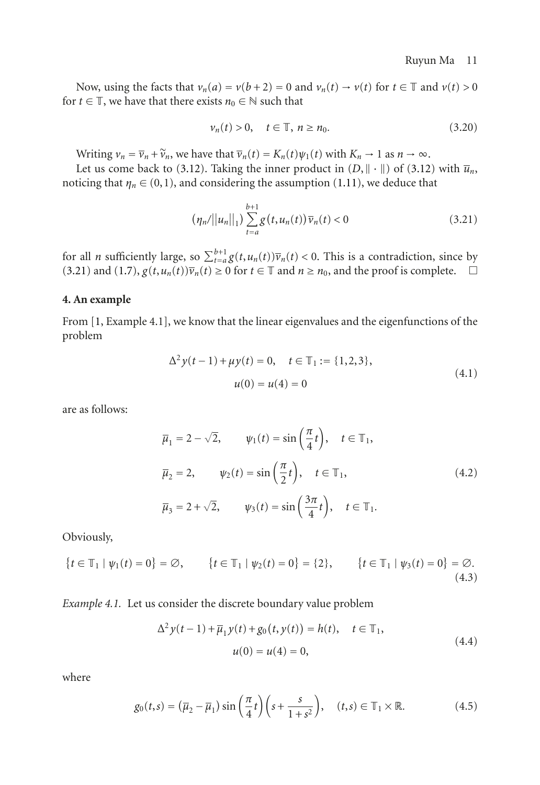Now, using the facts that  $v_n(a) = v(b+2) = 0$  and  $v_n(t) \rightarrow v(t)$  for  $t \in \mathbb{T}$  and  $v(t) > 0$ for *t*  $\in$  T, we have that there exists  $n_0 \in \mathbb{N}$  such that

<span id="page-10-0"></span>
$$
\nu_n(t) > 0, \quad t \in \mathbb{T}, \ n \ge n_0. \tag{3.20}
$$

Writing  $v_n = \overline{v}_n + \widetilde{v}_n$ , we have that  $\overline{v}_n(t) = K_n(t)\psi_1(t)$  with  $K_n \to 1$  as  $n \to \infty$ .

Let us come back to [\(3.12\)](#page-9-2). Taking the inner product in  $(D, \|\cdot\|)$  of (3.12) with  $\overline{u}_n$ , noticing that  $\eta_n \in (0,1)$ , and considering the assumption [\(1.11\)](#page-2-1), we deduce that

$$
(\eta_n/||u_n||_1) \sum_{t=a}^{b+1} g(t, u_n(t)) \overline{v}_n(t) < 0
$$
 (3.21)

 $(\eta_n/||u_n||_1) \sum_{t=a} g(t, u_n(t)) \overline{v}_n(t) < 0$  (3.21)<br>for all *n* sufficiently large, so  $\sum_{t=a}^{b+1} g(t, u_n(t)) \overline{v}_n(t) < 0$ . This is a contradiction, since by<br>(3.21) and (1.7)  $g(t, u_n(t)) \overline{v}_n(t) > 0$  for  $t \in \mathbb{T}$  and  $n > n_0$  and th [\(3.21\)](#page-10-0) and [\(1.7\)](#page-1-5),  $g(t, u_n(t))\overline{v}_n(t) \ge 0$  for  $t \in \mathbb{T}$  and  $n \ge n_0$ , and the proof is complete.  $\Box$ 

# **4. An example**

From [\[1](#page-11-1), Example 4.1], we know that the linear eigenvalues and the eigenfunctions of the problem

$$
\Delta^{2} y(t-1) + \mu y(t) = 0, \quad t \in \mathbb{T}_{1} := \{1, 2, 3\},
$$
  

$$
u(0) = u(4) = 0
$$
 (4.1)

are as follows:

$$
\overline{\mu}_1 = 2 - \sqrt{2}, \qquad \psi_1(t) = \sin\left(\frac{\pi}{4}t\right), \quad t \in \mathbb{T}_1,
$$
  

$$
\overline{\mu}_2 = 2, \qquad \psi_2(t) = \sin\left(\frac{\pi}{2}t\right), \quad t \in \mathbb{T}_1,
$$
  

$$
\overline{\mu}_3 = 2 + \sqrt{2}, \qquad \psi_3(t) = \sin\left(\frac{3\pi}{4}t\right), \quad t \in \mathbb{T}_1.
$$
  
(4.2)

Obviously,

Obviously,  
\n
$$
\{t \in \mathbb{T}_1 | \psi_1(t) = 0\} = \emptyset, \qquad \{t \in \mathbb{T}_1 | \psi_2(t) = 0\} = \{2\}, \qquad \{t \in \mathbb{T}_1 | \psi_3(t) = 0\} = \emptyset.
$$
\n(4.3)

*Example 4.1.* Let us consider the discrete boundary value problem

<span id="page-10-1"></span>
$$
\Delta^{2} y(t-1) + \overline{\mu}_{1} y(t) + g_{0}(t, y(t)) = h(t), \quad t \in \mathbb{T}_{1},
$$
  

$$
u(0) = u(4) = 0,
$$
 (4.4)

where

$$
g_0(t,s) = (\overline{\mu}_2 - \overline{\mu}_1) \sin\left(\frac{\pi}{4}t\right) \left(s + \frac{s}{1+s^2}\right), \quad (t,s) \in \mathbb{T}_1 \times \mathbb{R}.\tag{4.5}
$$